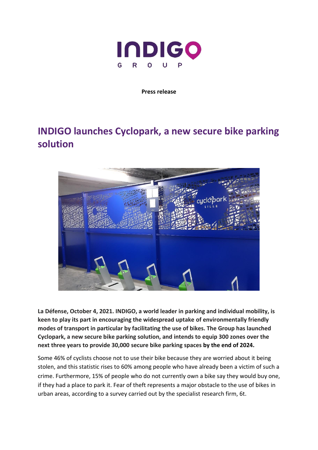

### **Press release**

# **INDIGO launches Cyclopark, a new secure bike parking solution**



**La Défense, October 4, 2021. INDIGO, a world leader in parking and individual mobility, is keen to play its part in encouraging the widespread uptake of environmentally friendly modes of transport in particular by facilitating the use of bikes. The Group has launched Cyclopark, a new secure bike parking solution, and intends to equip 300 zones over the next three years to provide 30,000 secure bike parking spaces by the end of 2024.** 

Some 46% of cyclists choose not to use their bike because they are worried about it being stolen, and this statistic rises to 60% among people who have already been a victim of such a crime. Furthermore, 15% of people who do not currently own a bike say they would buy one, if they had a place to park it. Fear of theft represents a major obstacle to the use of bikes in urban areas, according to a survey carried out by the specialist research firm, 6t.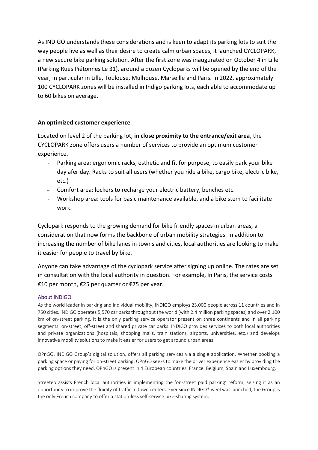As INDIGO understands these considerations and is keen to adapt its parking lots to suit the way people live as well as their desire to create calm urban spaces, it launched CYCLOPARK, a new secure bike parking solution. After the first zone was inaugurated on October 4 in Lille (Parking Rues Piétonnes Le 31), around a dozen Cycloparks will be opened by the end of the year, in particular in Lille, Toulouse, Mulhouse, Marseille and Paris. In 2022, approximately 100 CYCLOPARK zones will be installed in Indigo parking lots, each able to accommodate up to 60 bikes on average.

# **An optimized customer experience**

Located on level 2 of the parking lot, **in close proximity to the entrance/exit area**, the CYCLOPARK zone offers users a number of services to provide an optimum customer experience.

- Parking area: ergonomic racks, esthetic and fit for purpose, to easily park your bike day afer day. Racks to suit all users (whether you ride a bike, cargo bike, electric bike, etc.)
- Comfort area: lockers to recharge your electric battery, benches etc.
- Workshop area: tools for basic maintenance available, and a bike stem to facilitate work.

Cyclopark responds to the growing demand for bike friendly spaces in urban areas, a consideration that now forms the backbone of urban mobility strategies. In addition to increasing the number of bike lanes in towns and cities, local authorities are looking to make it easier for people to travel by bike.

Anyone can take advantage of the cyclopark service after signing up online. The rates are set in consultation with the local authority in question. For example, In Paris, the service costs €10 per month, €25 per quarter or €75 per year.

## About INDIGO

As the world leader in parking and individual mobility, INDIGO employs 23,000 people across 11 countries and in 750 cities. INDIGO operates 5,570 car parks throughout the world (with 2.4 million parking spaces) and over 2,100 km of on-street parking. It is the only parking service operator present on three continents and in all parking segments: on-street, off-street and shared private car parks. INDIGO provides services to both local authorities and private organizations (hospitals, shopping malls, train stations, airports, universities, etc.) and develops innovative mobility solutions to make it easier for users to get around urban areas.

OPnGO, INDIGO Group's digital solution, offers all parking services via a single application. Whether booking a parking space or paying for on-street parking, OPnGO seeks to make the driver experience easier by providing the parking options they need. OPnGO is present in 4 European countries: France, Belgium, Spain and Luxembourg.

Streeteo assists French local authorities in implementing the 'on-street paid parking' reform, seizing it as an opportunity to improve the fluidity of traffic in town centers. Ever since INDIGO® weel was launched, the Group is the only French company to offer a station-less self-service bike-sharing system.